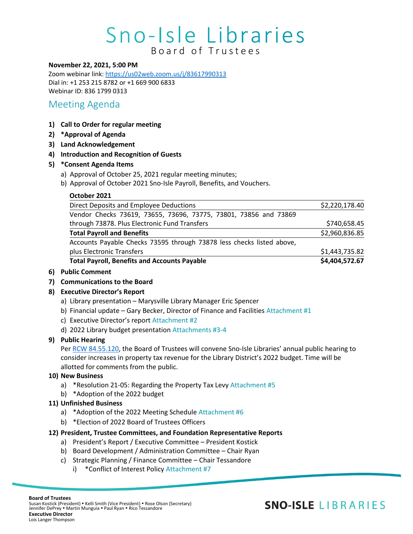# Sno-Isle Libraries Board of Trustees

#### **November 22, 2021, 5:00 PM**

Zoom webinar link: <https://us02web.zoom.us/j/83617990313> Dial in: +1 253 215 8782 or +1 669 900 6833 Webinar ID: 836 1799 0313

### Meeting Agenda

- **1) Call to Order for regular meeting**
- **2) \*Approval of Agenda**
- **3) Land Acknowledgement**
- **4) Introduction and Recognition of Guests**
- **5) \*Consent Agenda Items**
	- a) Approval of October 25, 2021 regular meeting minutes;
	- b) Approval of October 2021 Sno-Isle Payroll, Benefits, and Vouchers.

#### **October 2021**

| <b>Total Payroll, Benefits and Accounts Payable</b>                   | \$4,404,572.67 |
|-----------------------------------------------------------------------|----------------|
| plus Electronic Transfers                                             | \$1,443,735.82 |
| Accounts Payable Checks 73595 through 73878 less checks listed above, |                |
| <b>Total Payroll and Benefits</b>                                     | \$2,960,836.85 |
| through 73878. Plus Electronic Fund Transfers                         | \$740,658.45   |
| Vendor Checks 73619, 73655, 73696, 73775, 73801, 73856 and 73869      |                |
| Direct Deposits and Employee Deductions                               | \$2,220,178.40 |

#### **6) Public Comment**

- **7) Communications to the Board**
- **8) Executive Director's Report**
	- a) Library presentation Marysville Library Manager Eric Spencer
	- b) Financial update Gary Becker, Director of Finance and Facilities Attachment #1
	- c) Executive Director's report Attachment #2
	- d) 2022 Library budget presentation Attachments #3-4

#### **9) Public Hearing**

Per [RCW 84.55.120,](https://app.leg.wa.gov/RCW/default.aspx?cite=84.55) the Board of Trustees will convene Sno-Isle Libraries' annual public hearing to consider increases in property tax revenue for the Library District's 2022 budget. Time will be allotted for comments from the public.

#### **10) New Business**

- a) \*Resolution 21-05: Regarding the Property Tax Levy Attachment #5
- b) \*Adoption of the 2022 budget

#### **11) Unfinished Business**

- a) \*Adoption of the 2022 Meeting Schedule Attachment #6
- b) \*Election of 2022 Board of Trustees Officers

#### **12) President, Trustee Committees, and Foundation Representative Reports**

- a) President's Report / Executive Committee President Kostick
- b) Board Development / Administration Committee Chair Ryan
- c) Strategic Planning / Finance Committee Chair Tessandore
	- i) \*Conflict of Interest Policy Attachment #7

### **SNO-ISLE LIBRARIES**